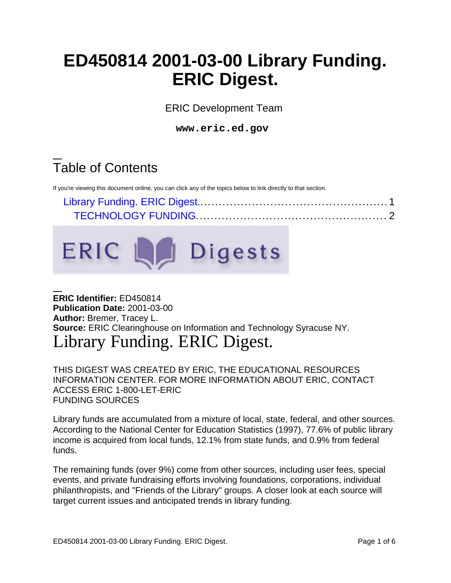# **ED450814 2001-03-00 Library Funding. ERIC Digest.**

ERIC Development Team

**www.eric.ed.gov**

# Table of Contents

If you're viewing this document online, you can click any of the topics below to link directly to that section.



# **ERIC Identifier:** ED450814 **Publication Date:** 2001-03-00 **Author:** Bremer, Tracey L. **Source:** ERIC Clearinghouse on Information and Technology Syracuse NY. Library Funding. ERIC Digest.

<span id="page-0-0"></span>THIS DIGEST WAS CREATED BY ERIC, THE EDUCATIONAL RESOURCES INFORMATION CENTER. FOR MORE INFORMATION ABOUT ERIC, CONTACT ACCESS ERIC 1-800-LET-ERIC FUNDING SOURCES

Library funds are accumulated from a mixture of local, state, federal, and other sources. According to the National Center for Education Statistics (1997), 77.6% of public library income is acquired from local funds, 12.1% from state funds, and 0.9% from federal funds.

The remaining funds (over 9%) come from other sources, including user fees, special events, and private fundraising efforts involving foundations, corporations, individual philanthropists, and "Friends of the Library" groups. A closer look at each source will target current issues and anticipated trends in library funding.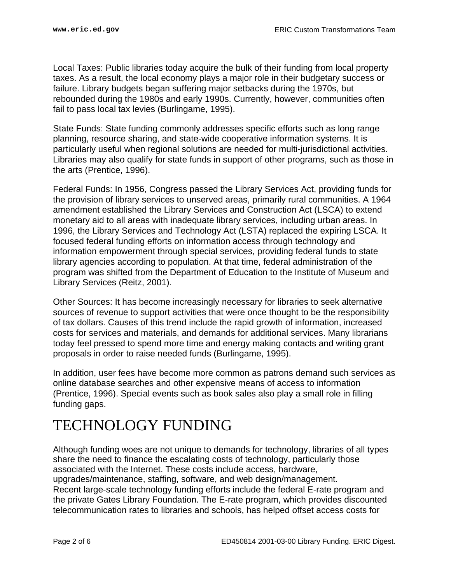Local Taxes: Public libraries today acquire the bulk of their funding from local property taxes. As a result, the local economy plays a major role in their budgetary success or failure. Library budgets began suffering major setbacks during the 1970s, but rebounded during the 1980s and early 1990s. Currently, however, communities often fail to pass local tax levies (Burlingame, 1995).

State Funds: State funding commonly addresses specific efforts such as long range planning, resource sharing, and state-wide cooperative information systems. It is particularly useful when regional solutions are needed for multi-jurisdictional activities. Libraries may also qualify for state funds in support of other programs, such as those in the arts (Prentice, 1996).

Federal Funds: In 1956, Congress passed the Library Services Act, providing funds for the provision of library services to unserved areas, primarily rural communities. A 1964 amendment established the Library Services and Construction Act (LSCA) to extend monetary aid to all areas with inadequate library services, including urban areas. In 1996, the Library Services and Technology Act (LSTA) replaced the expiring LSCA. It focused federal funding efforts on information access through technology and information empowerment through special services, providing federal funds to state library agencies according to population. At that time, federal administration of the program was shifted from the Department of Education to the Institute of Museum and Library Services (Reitz, 2001).

Other Sources: It has become increasingly necessary for libraries to seek alternative sources of revenue to support activities that were once thought to be the responsibility of tax dollars. Causes of this trend include the rapid growth of information, increased costs for services and materials, and demands for additional services. Many librarians today feel pressed to spend more time and energy making contacts and writing grant proposals in order to raise needed funds (Burlingame, 1995).

In addition, user fees have become more common as patrons demand such services as online database searches and other expensive means of access to information (Prentice, 1996). Special events such as book sales also play a small role in filling funding gaps.

# <span id="page-1-0"></span>TECHNOLOGY FUNDING

Although funding woes are not unique to demands for technology, libraries of all types share the need to finance the escalating costs of technology, particularly those associated with the Internet. These costs include access, hardware, upgrades/maintenance, staffing, software, and web design/management. Recent large-scale technology funding efforts include the federal E-rate program and the private Gates Library Foundation. The E-rate program, which provides discounted telecommunication rates to libraries and schools, has helped offset access costs for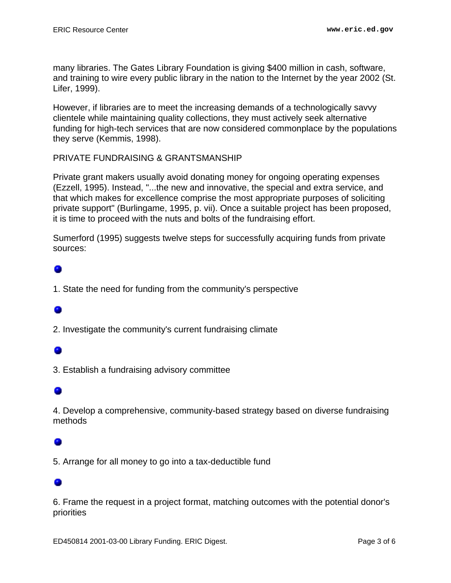many libraries. The Gates Library Foundation is giving \$400 million in cash, software, and training to wire every public library in the nation to the Internet by the year 2002 (St. Lifer, 1999).

However, if libraries are to meet the increasing demands of a technologically savvy clientele while maintaining quality collections, they must actively seek alternative funding for high-tech services that are now considered commonplace by the populations they serve (Kemmis, 1998).

### PRIVATE FUNDRAISING & GRANTSMANSHIP

Private grant makers usually avoid donating money for ongoing operating expenses (Ezzell, 1995). Instead, "...the new and innovative, the special and extra service, and that which makes for excellence comprise the most appropriate purposes of soliciting private support" (Burlingame, 1995, p. vii). Once a suitable project has been proposed, it is time to proceed with the nuts and bolts of the fundraising effort.

Sumerford (1995) suggests twelve steps for successfully acquiring funds from private sources:

# o

1. State the need for funding from the community's perspective

# ۰

2. Investigate the community's current fundraising climate

# ۰

3. Establish a fundraising advisory committee

## ۰

4. Develop a comprehensive, community-based strategy based on diverse fundraising methods

5. Arrange for all money to go into a tax-deductible fund

6. Frame the request in a project format, matching outcomes with the potential donor's priorities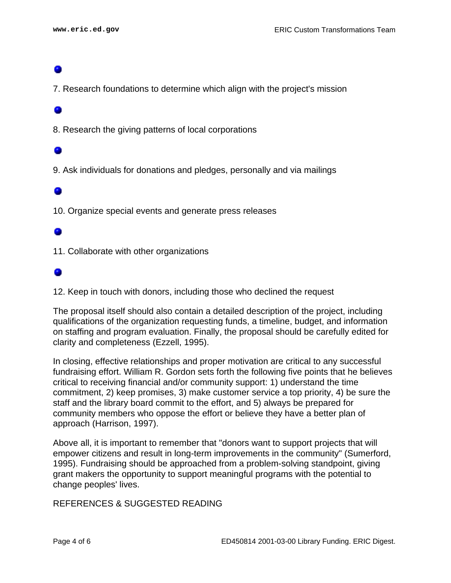7. Research foundations to determine which align with the project's mission

### 0

8. Research the giving patterns of local corporations

9. Ask individuals for donations and pledges, personally and via mailings

### ۰

10. Organize special events and generate press releases

## ۰

11. Collaborate with other organizations

## o

12. Keep in touch with donors, including those who declined the request

The proposal itself should also contain a detailed description of the project, including qualifications of the organization requesting funds, a timeline, budget, and information on staffing and program evaluation. Finally, the proposal should be carefully edited for clarity and completeness (Ezzell, 1995).

In closing, effective relationships and proper motivation are critical to any successful fundraising effort. William R. Gordon sets forth the following five points that he believes critical to receiving financial and/or community support: 1) understand the time commitment, 2) keep promises, 3) make customer service a top priority, 4) be sure the staff and the library board commit to the effort, and 5) always be prepared for community members who oppose the effort or believe they have a better plan of approach (Harrison, 1997).

Above all, it is important to remember that "donors want to support projects that will empower citizens and result in long-term improvements in the community" (Sumerford, 1995). Fundraising should be approached from a problem-solving standpoint, giving grant makers the opportunity to support meaningful programs with the potential to change peoples' lives.

### REFERENCES & SUGGESTED READING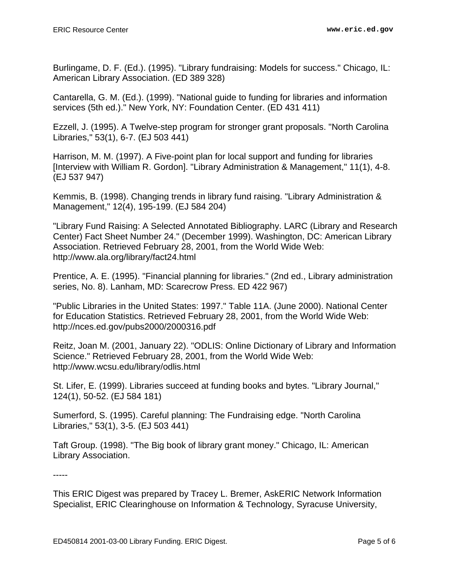Burlingame, D. F. (Ed.). (1995). "Library fundraising: Models for success." Chicago, IL: American Library Association. (ED 389 328)

Cantarella, G. M. (Ed.). (1999). "National guide to funding for libraries and information services (5th ed.)." New York, NY: Foundation Center. (ED 431 411)

Ezzell, J. (1995). A Twelve-step program for stronger grant proposals. "North Carolina Libraries," 53(1), 6-7. (EJ 503 441)

Harrison, M. M. (1997). A Five-point plan for local support and funding for libraries [Interview with William R. Gordon]. "Library Administration & Management," 11(1), 4-8. (EJ 537 947)

Kemmis, B. (1998). Changing trends in library fund raising. "Library Administration & Management," 12(4), 195-199. (EJ 584 204)

"Library Fund Raising: A Selected Annotated Bibliography. LARC (Library and Research Center) Fact Sheet Number 24." (December 1999). Washington, DC: American Library Association. Retrieved February 28, 2001, from the World Wide Web: http://www.ala.org/library/fact24.html

Prentice, A. E. (1995). "Financial planning for libraries." (2nd ed., Library administration series, No. 8). Lanham, MD: Scarecrow Press. ED 422 967)

"Public Libraries in the United States: 1997." Table 11A. (June 2000). National Center for Education Statistics. Retrieved February 28, 2001, from the World Wide Web: http://nces.ed.gov/pubs2000/2000316.pdf

Reitz, Joan M. (2001, January 22). "ODLIS: Online Dictionary of Library and Information Science." Retrieved February 28, 2001, from the World Wide Web: http://www.wcsu.edu/library/odlis.html

St. Lifer, E. (1999). Libraries succeed at funding books and bytes. "Library Journal," 124(1), 50-52. (EJ 584 181)

Sumerford, S. (1995). Careful planning: The Fundraising edge. "North Carolina Libraries," 53(1), 3-5. (EJ 503 441)

Taft Group. (1998). "The Big book of library grant money." Chicago, IL: American Library Association.

-----

This ERIC Digest was prepared by Tracey L. Bremer, AskERIC Network Information Specialist, ERIC Clearinghouse on Information & Technology, Syracuse University,